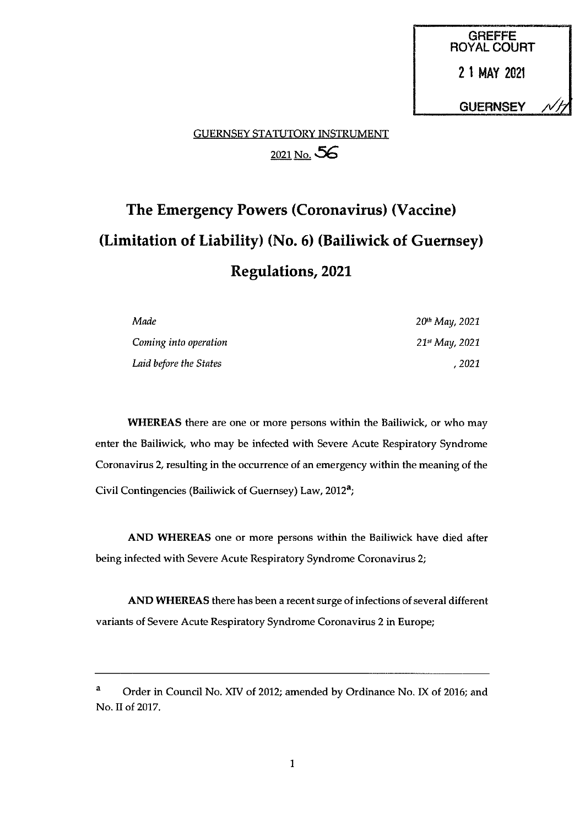GREFFE ROYAL COURT 21 MAY 2021 **GUERNSEY** 

## GUERNSEY STATUTORY INSTRUMENT 2021 No. 56

# The Emergency Powers (Coronavirus) (Vaccine) (Limitation of Liability) (No. 6) (Bailiwick of Guernsey) Regulations, 2021

| Made                   | 20 <sup>th</sup> May, 2021 |
|------------------------|----------------------------|
| Coming into operation  | 21st May, 2021             |
| Laid before the States | . 2021                     |

WHEREAS there are one or more persons within the Bailiwick, or who may enter the Bailiwick, who may be infected with Severe Acute Respiratory Syndrome Coronavirus 2, resulting in the occurrence of an emergency within the meaning of the Civil Contingencies (Bailiwick of Guernsey) Law, 2012<sup>a</sup>;

AND WHEREAS one or more persons within the Bailiwick have died after being infected with Severe Acute Respiratory Syndrome Coronavirus 2;

AND WHEREAS there has been a recent surge of infections of several different variants of Severe Acute Respiratory Syndrome Coronavirus 2 in Europe;

<sup>&</sup>lt;sup>a</sup> Order in Council No. XIV of 2012; amended by Ordinance No. IX of 2016; and No. II of 2017.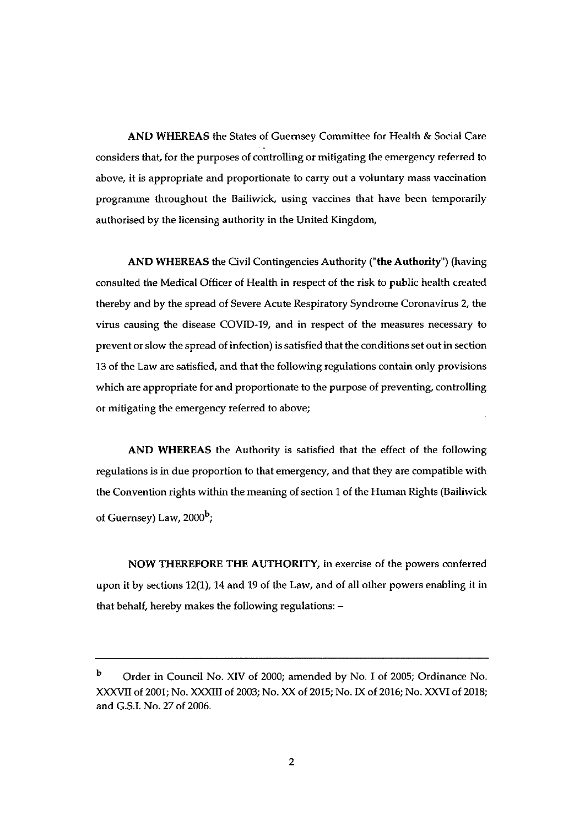AND WHEREAS the States of Guernsey Committee for Health & Social Care considers that, for the purposes of controlling or mitigating the emergency referred to above, it is appropriate and proportionate to carry out a voluntary mass vaccination programme throughout the Bailiwick, using vaccines that have been temporarily authorised by the licensing authority in the United Kingdom,

AND WHEREAS the Civil Contingencies Authority ("the Authority") (having consulted the Medical Officer of Health in respect of the risk to public health created thereby and by the spread of Severe Acute Respiratory Syndrome Coronavirus 2, the virus causing the disease COVID-19, and in respect of the measures necessary to prevent or slow the spread of infection) is satisfied that the conditions set out in section 13 of the Law are satisfied, and that the following regulations contain only provisions which are appropriate for and proportionate to the purpose of preventing, controlling or mitigating the emergency referred to above;

AND WHEREAS the Authority is satisfied that the effect of the following regulations is in due proportion to that emergency, and that they are compatible with the Convention rights within the meaning of section <sup>1</sup> of the Human Rights (Bailiwick of Guernsey) Law,  $2000<sup>b</sup>$ ;

NOW THEREFORE THE AUTHORITY, in exercise of the powers conferred upon it by sections 12(1), 14 and 19 of the Law, and of all other powers enabling it in that behalf, hereby makes the following regulations: —

<sup>b</sup> Order in Council No. XIV of 2000; amended by No. <sup>I</sup> of 2005; Ordinance No. XXXVII of 2001; No. XXXIII of 2003; No. XX of 2015; No. IX of 2016; No. XXVI of 2018; and G.S.I. No. 27 of 2006.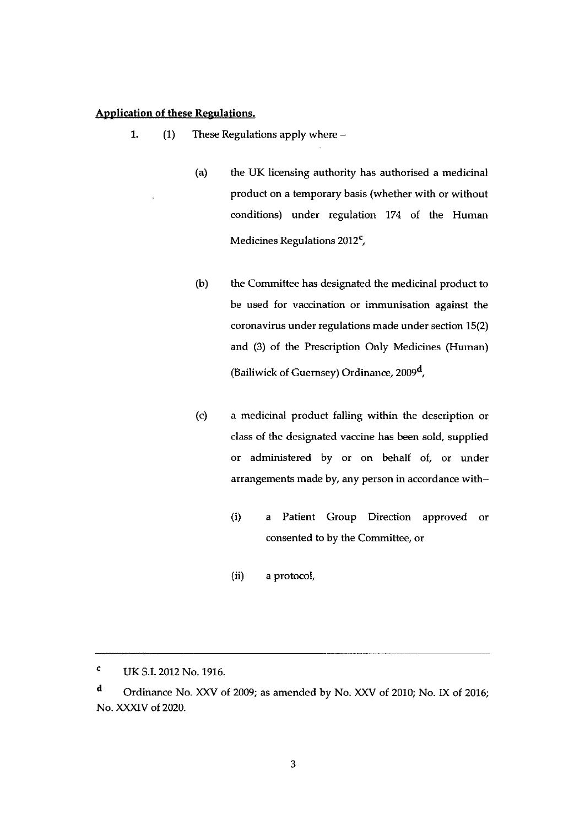#### Application of these Regulations.

- 1. (1) These Regulations apply where —
	- (a) the UK licensing authority has authorised a medicinal product on a temporary basis (whether with or without conditions) under regulation 174 of the Human Medicines Regulations 2O12',
	- (b) the Committee has designated the medicinal product to be used for vaccination or immunisation against the coronavirus under regulations made under section 13(2) and (3) of the Prescription Only Medicines (Human) (Bailiwick of Guernsey) Ordinance, 2009',
	- (c) a medicinal product falling within the description or class of the designated vaccine has been sold, supplied or administered by or on behalf of, or under arrangements made by, any person in accordance with—
		- (i) a Patient Group Direction approved or consented to by the Committee, or
		- (ii) a protocol,

<sup>C</sup> UK S.I. 2012 No. 1916.

d Ordinance No. XXV of 2009; as amended by No. XXV of 2010; No. IX of 2016; No. XXXIV of 2020.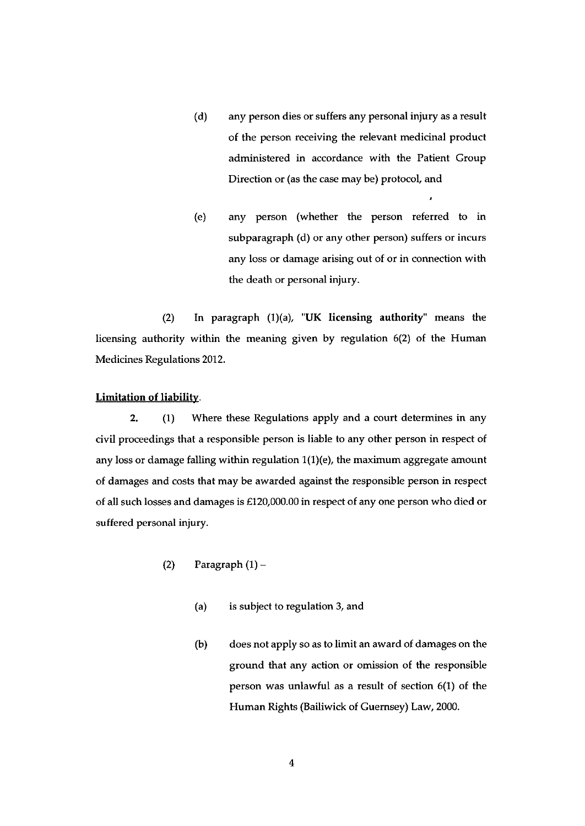- (d) any person dies or suffers any personal injury as a result of the person receiving the relevant medicinal product administered in accordance with the Patient Group Direction or (as the case may be) protocol, and
- (e) any person (whether the person referred to in subparagraph (d) or any other person) suffers or incurs any loss or damage arising out of or in connection with the death or personal injury.

(2) In paragraph  $(1)(a)$ , "UK licensing authority" means the licensing authority within the meaning given by regulation 6(2) of the Human Medicines Regulations 2012.

#### Limitation of liability.

2. (1) Where these Regulations apply and a court determines in any civil proceedings that a responsible person is liable to any other person in respect of any loss or damage falling within regulation  $1(1)(e)$ , the maximum aggregate amount of damages and costs that may be awarded against the responsible person in respect of all such losses and damages is £120,000.00 in respect of any one person who died or suffered personal injury.

- (2) Paragraph  $(1)$ 
	- (a) is subject to regulation 3, and
	- (b) does not apply so as to limit an award of damages on the ground that any action or omission of the responsible person was unlawful as a result of section 6(1) of the Human Rights (Bailiwick of Guernsey) Law, 2000.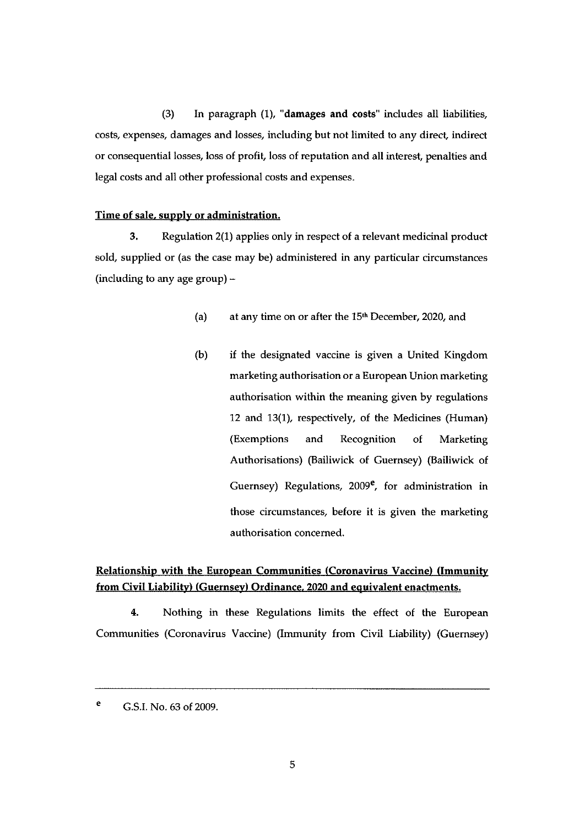(3) In paragraph (1), "damages and costs" includes all liabilities, costs, expenses, damages and losses, including but not limited to any direct indirect or consequential losses, loss of profit, loss of reputation and all interest, penalties and legal costs and all other professional costs and expenses.

#### Time of sale, supply or administration.

3. Regulation 2(1) applies only in respect of a relevant medicinal product sold, supplied or (as the case may be) administered in any particular circumstances (including to any age group) —

- (a) at any time on or after the  $15<sup>th</sup>$  December, 2020, and
- (b) if the designated vaccine is given a United Kingdom marketing authorisation or a European Union marketing authorisation within the meaning given by regulations 12 and 13(1), respectively, of the Medicines (Human) (Exemptions and Recognition of Marketing Authorisations) (Bailiwick of Guernsey) (Bailiwick of Guernsey) Regulations,  $2009^e$ , for administration in those circumstances, before it is given the marketing authorisation concerned.

### Relationship with the European Communities (Coronavirus Vaccine) (Immunity from Civil Liability) (Guernsey) Ordinance. 2020 and equivalent enactments.

4. Nothing in these Regulations limits the effect of the European Communities (Coronavirus Vaccine) (Immunity from Civil Liability) (Guernsey)

e G.S.I. No. 63 of 2009.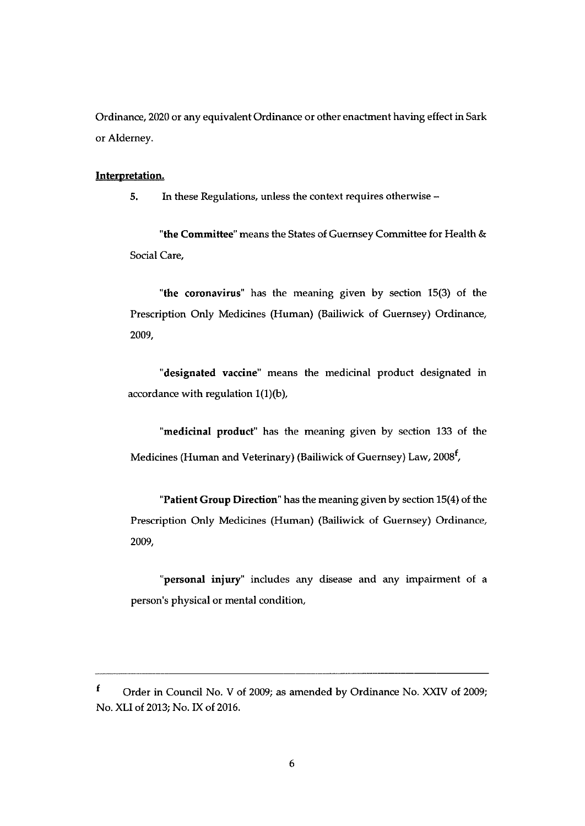Ordinance, 2020 or any equivalent Ordinance or other enactment having effect in Sark or Alderney.

#### Interpretation.

5. In these Regulations, unless the context requires otherwise —

"the Committee" means the States of Guernsey Committee for Health & Social Care,

"the coronavirus" has the meaning given by section 15(3) of the Prescription Only Medicines (Human) (Bailiwick of Guernsey) Ordinance, 2009,

"designated vaccine" means the medicinal product designated in accordance with regulation  $1(1)(b)$ ,

"medicinal product" has the meaning given by section 133 of the Medicines (Human and Veterinary) (Bailiwick of Guernsey) Law,  $2008<sup>f</sup>$ ,

"Patient Group Direction" has the meaning given by section 15(4) of the Prescription Only Medicines (Human) (Bailiwick of Guernsey) Ordinance, 2009,

"personal injury" includes any disease and any impairment of a person's physical or mental condition,

 $\mathbf f$ Order in Council No. <sup>V</sup> of 2009; as amended by Ordinance No. XXIV of 2009; No. XLI of 2013; No. IX of 2016.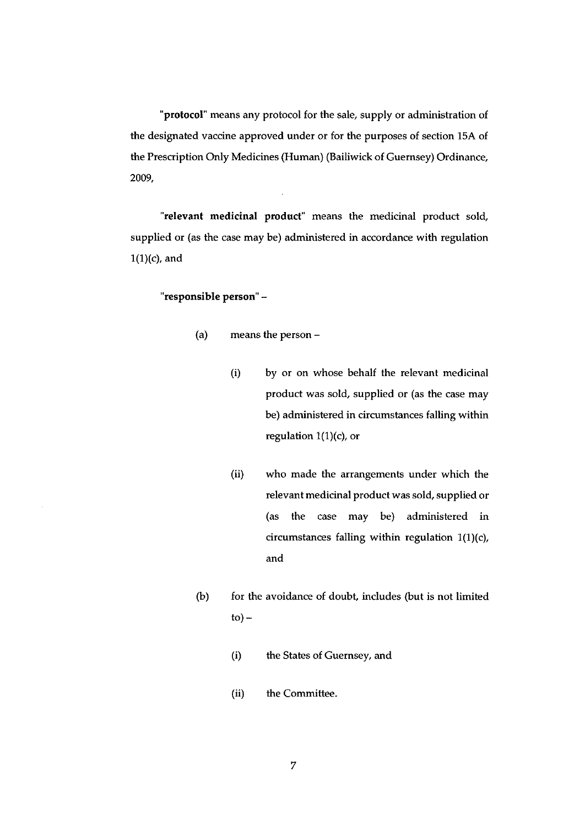protocol' means any protocol for the sale, supply or administration of the designated vaccine approved under or for the purposes of section 15A of the Prescription Oniy Medicines (Human) (Bailiwick of Guernsey) Ordinance, 2009,

'relevant medicinal product' means the medicinal product sold, supplied or (as the case may be) administered in accordance with regulation  $1(1)(c)$ , and

#### "responsible person" —

- (a) means the person
	- (i) by or on whose behalf the relevant medicinal product was sold, supplied or (as the case may be) administered in circumstances falling within regulation 1(1)(c), or
	- (ii) who made the arrangements under which the relevant medicinal product was sold, supplied or (as the case may be) administered in circumstances falling within regulation  $1(1)(c)$ , and
- (b) for the avoidance of doubt, includes (but is not limited  $to$ ) –
	- (i) the States of Guernsey, and
	- (ii) the Committee.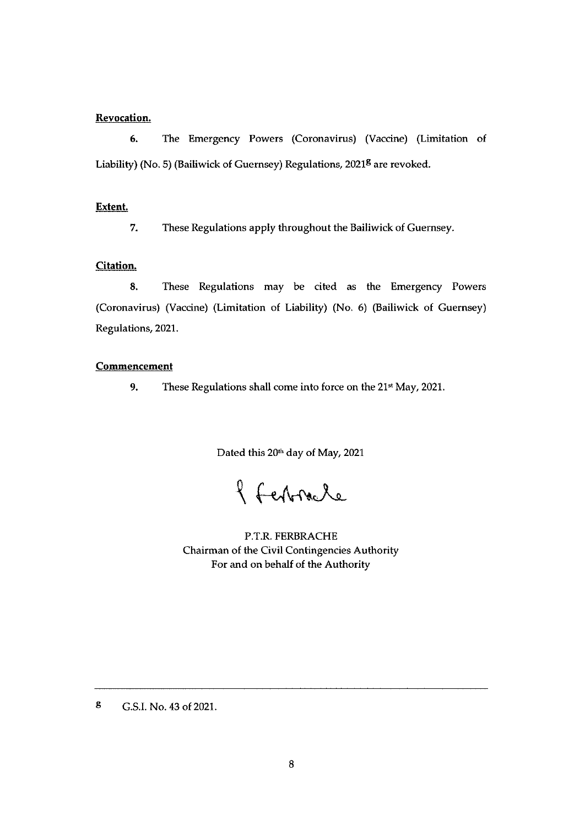#### Revocation.

6. The Emergency Powers (Coronavirus) (Vaccine) (Limitation of Liability) (No. 5) (Bailiwick of Guernsey) Regulations, 2021<sup>8</sup> are revoked.

#### Extent.

7. These Regulations apply throughout the Bailiwick of Guernsey.

#### Citation.

8. These Regulations may be cited as the Emergency Powers (Coronavirus) (Vaccine) (Limitation of Liability) (No. 6) (Bailiwick of Guernsey) Regulations, 2021.

#### Commencement

9. These Regulations shall come into force on the  $21<sup>st</sup>$  May, 2021.

Dated this 20<sup>th</sup> day of May, 2021

of Ferbracle

P.T.R. FERBRACHE Chairman of the Civil Contingencies Authority For and on behalf of the Authority

8 G.S.I. No. 43 of 2021.